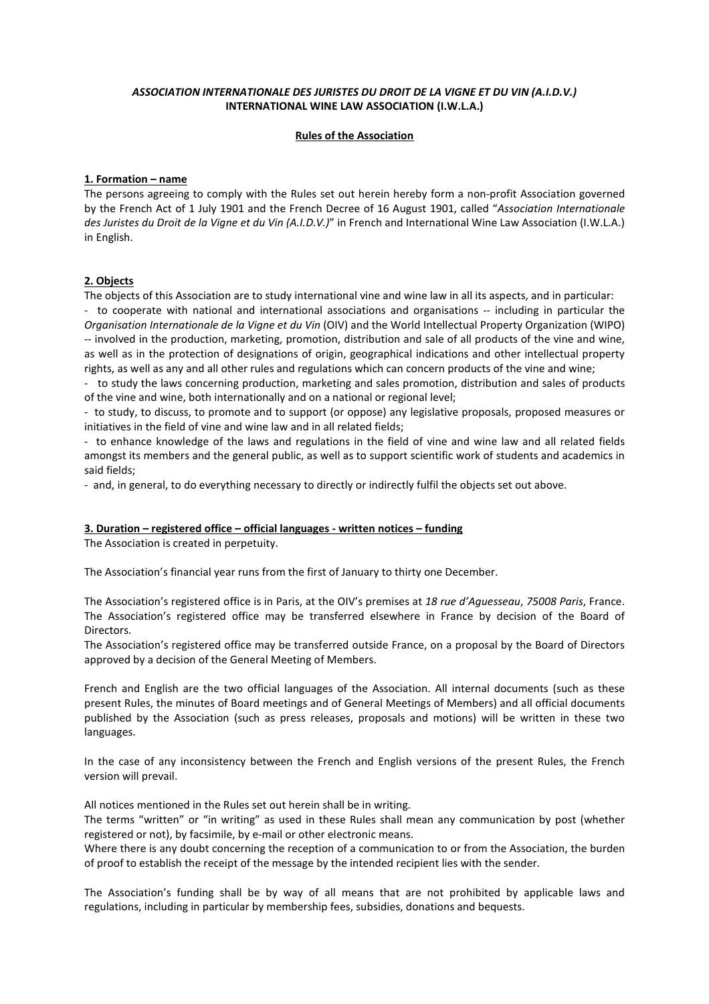## *ASSOCIATION INTERNATIONALE DES JURISTES DU DROIT DE LA VIGNE ET DU VIN (A.I.D.V.)*  **INTERNATIONAL WINE LAW ASSOCIATION (I.W.L.A.)**

#### **Rules of the Association**

#### **1. Formation – name**

The persons agreeing to comply with the Rules set out herein hereby form a non-profit Association governed by the French Act of 1 July 1901 and the French Decree of 16 August 1901, called "*Association Internationale des Juristes du Droit de la Vigne et du Vin (A.I.D.V.)*" in French and International Wine Law Association (I.W.L.A.) in English.

# **2. Objects**

The objects of this Association are to study international vine and wine law in all its aspects, and in particular: - to cooperate with national and international associations and organisations -- including in particular the *Organisation Internationale de la Vigne et du Vin* (OIV) and the World Intellectual Property Organization (WIPO) -- involved in the production, marketing, promotion, distribution and sale of all products of the vine and wine, as well as in the protection of designations of origin, geographical indications and other intellectual property rights, as well as any and all other rules and regulations which can concern products of the vine and wine;

- to study the laws concerning production, marketing and sales promotion, distribution and sales of products of the vine and wine, both internationally and on a national or regional level;

- to study, to discuss, to promote and to support (or oppose) any legislative proposals, proposed measures or initiatives in the field of vine and wine law and in all related fields;

- to enhance knowledge of the laws and regulations in the field of vine and wine law and all related fields amongst its members and the general public, as well as to support scientific work of students and academics in said fields;

- and, in general, to do everything necessary to directly or indirectly fulfil the objects set out above.

## **3. Duration – registered office – official languages - written notices – funding**

The Association is created in perpetuity.

The Association's financial year runs from the first of January to thirty one December.

The Association's registered office is in Paris, at the OIV's premises at *18 rue d'Aguesseau*, *75008 Paris*, France. The Association's registered office may be transferred elsewhere in France by decision of the Board of Directors.

The Association's registered office may be transferred outside France, on a proposal by the Board of Directors approved by a decision of the General Meeting of Members.

French and English are the two official languages of the Association. All internal documents (such as these present Rules, the minutes of Board meetings and of General Meetings of Members) and all official documents published by the Association (such as press releases, proposals and motions) will be written in these two languages.

In the case of any inconsistency between the French and English versions of the present Rules, the French version will prevail.

All notices mentioned in the Rules set out herein shall be in writing.

The terms "written" or "in writing" as used in these Rules shall mean any communication by post (whether registered or not), by facsimile, by e-mail or other electronic means.

Where there is any doubt concerning the reception of a communication to or from the Association, the burden of proof to establish the receipt of the message by the intended recipient lies with the sender.

The Association's funding shall be by way of all means that are not prohibited by applicable laws and regulations, including in particular by membership fees, subsidies, donations and bequests.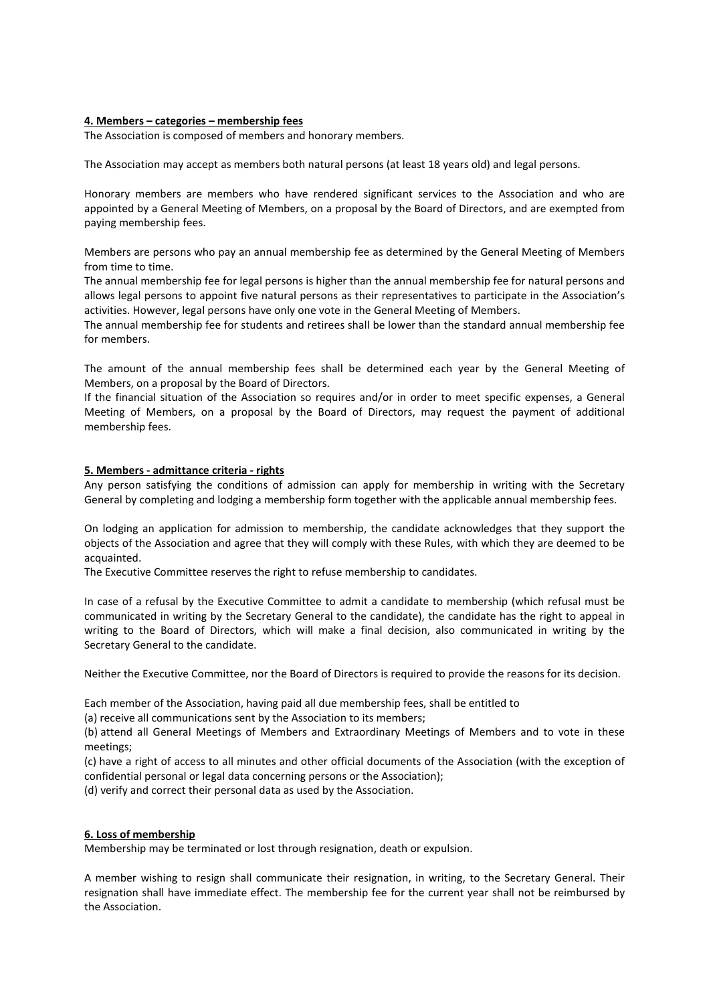#### **4. Members – categories – membership fees**

The Association is composed of members and honorary members.

The Association may accept as members both natural persons (at least 18 years old) and legal persons.

Honorary members are members who have rendered significant services to the Association and who are appointed by a General Meeting of Members, on a proposal by the Board of Directors, and are exempted from paying membership fees.

Members are persons who pay an annual membership fee as determined by the General Meeting of Members from time to time.

The annual membership fee for legal persons is higher than the annual membership fee for natural persons and allows legal persons to appoint five natural persons as their representatives to participate in the Association's activities. However, legal persons have only one vote in the General Meeting of Members.

The annual membership fee for students and retirees shall be lower than the standard annual membership fee for members.

The amount of the annual membership fees shall be determined each year by the General Meeting of Members, on a proposal by the Board of Directors.

If the financial situation of the Association so requires and/or in order to meet specific expenses, a General Meeting of Members, on a proposal by the Board of Directors, may request the payment of additional membership fees.

#### **5. Members - admittance criteria - rights**

Any person satisfying the conditions of admission can apply for membership in writing with the Secretary General by completing and lodging a membership form together with the applicable annual membership fees.

On lodging an application for admission to membership, the candidate acknowledges that they support the objects of the Association and agree that they will comply with these Rules, with which they are deemed to be acquainted.

The Executive Committee reserves the right to refuse membership to candidates.

In case of a refusal by the Executive Committee to admit a candidate to membership (which refusal must be communicated in writing by the Secretary General to the candidate), the candidate has the right to appeal in writing to the Board of Directors, which will make a final decision, also communicated in writing by the Secretary General to the candidate.

Neither the Executive Committee, nor the Board of Directors is required to provide the reasons for its decision.

Each member of the Association, having paid all due membership fees, shall be entitled to

(a) receive all communications sent by the Association to its members;

(b) attend all General Meetings of Members and Extraordinary Meetings of Members and to vote in these meetings;

(c) have a right of access to all minutes and other official documents of the Association (with the exception of confidential personal or legal data concerning persons or the Association);

(d) verify and correct their personal data as used by the Association.

## **6. Loss of membership**

Membership may be terminated or lost through resignation, death or expulsion.

A member wishing to resign shall communicate their resignation, in writing, to the Secretary General. Their resignation shall have immediate effect. The membership fee for the current year shall not be reimbursed by the Association.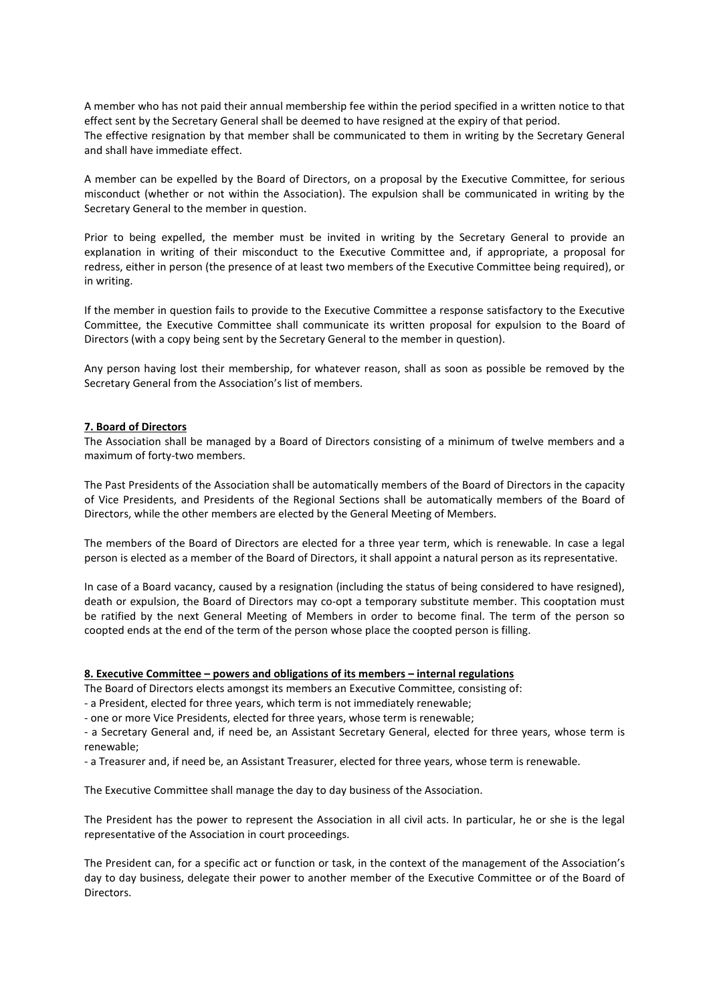A member who has not paid their annual membership fee within the period specified in a written notice to that effect sent by the Secretary General shall be deemed to have resigned at the expiry of that period. The effective resignation by that member shall be communicated to them in writing by the Secretary General and shall have immediate effect.

A member can be expelled by the Board of Directors, on a proposal by the Executive Committee, for serious misconduct (whether or not within the Association). The expulsion shall be communicated in writing by the Secretary General to the member in question.

Prior to being expelled, the member must be invited in writing by the Secretary General to provide an explanation in writing of their misconduct to the Executive Committee and, if appropriate, a proposal for redress, either in person (the presence of at least two members of the Executive Committee being required), or in writing.

If the member in question fails to provide to the Executive Committee a response satisfactory to the Executive Committee, the Executive Committee shall communicate its written proposal for expulsion to the Board of Directors (with a copy being sent by the Secretary General to the member in question).

Any person having lost their membership, for whatever reason, shall as soon as possible be removed by the Secretary General from the Association's list of members.

## **7. Board of Directors**

The Association shall be managed by a Board of Directors consisting of a minimum of twelve members and a maximum of forty-two members.

The Past Presidents of the Association shall be automatically members of the Board of Directors in the capacity of Vice Presidents, and Presidents of the Regional Sections shall be automatically members of the Board of Directors, while the other members are elected by the General Meeting of Members.

The members of the Board of Directors are elected for a three year term, which is renewable. In case a legal person is elected as a member of the Board of Directors, it shall appoint a natural person as its representative.

In case of a Board vacancy, caused by a resignation (including the status of being considered to have resigned), death or expulsion, the Board of Directors may co-opt a temporary substitute member. This cooptation must be ratified by the next General Meeting of Members in order to become final. The term of the person so coopted ends at the end of the term of the person whose place the coopted person is filling.

#### **8. Executive Committee – powers and obligations of its members – internal regulations**

The Board of Directors elects amongst its members an Executive Committee, consisting of:

- a President, elected for three years, which term is not immediately renewable;

- one or more Vice Presidents, elected for three years, whose term is renewable;

- a Secretary General and, if need be, an Assistant Secretary General, elected for three years, whose term is renewable;

- a Treasurer and, if need be, an Assistant Treasurer, elected for three years, whose term is renewable.

The Executive Committee shall manage the day to day business of the Association.

The President has the power to represent the Association in all civil acts. In particular, he or she is the legal representative of the Association in court proceedings.

The President can, for a specific act or function or task, in the context of the management of the Association's day to day business, delegate their power to another member of the Executive Committee or of the Board of Directors.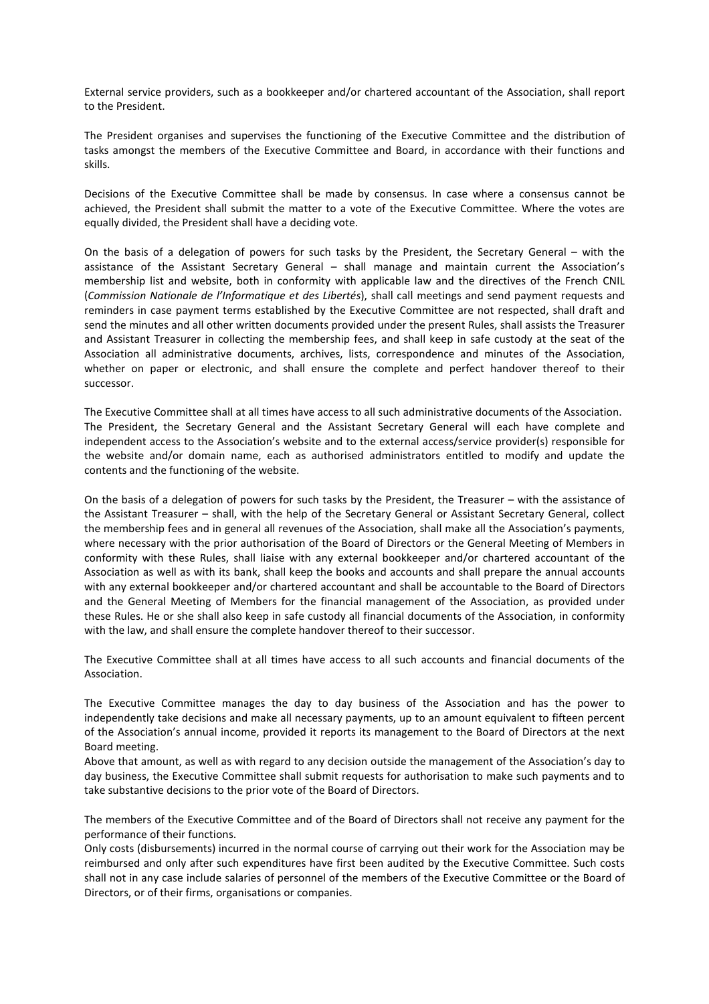External service providers, such as a bookkeeper and/or chartered accountant of the Association, shall report to the President.

The President organises and supervises the functioning of the Executive Committee and the distribution of tasks amongst the members of the Executive Committee and Board, in accordance with their functions and skills.

Decisions of the Executive Committee shall be made by consensus. In case where a consensus cannot be achieved, the President shall submit the matter to a vote of the Executive Committee. Where the votes are equally divided, the President shall have a deciding vote.

On the basis of a delegation of powers for such tasks by the President, the Secretary General – with the assistance of the Assistant Secretary General – shall manage and maintain current the Association's membership list and website, both in conformity with applicable law and the directives of the French CNIL (*Commission Nationale de l'Informatique et des Libertés*), shall call meetings and send payment requests and reminders in case payment terms established by the Executive Committee are not respected, shall draft and send the minutes and all other written documents provided under the present Rules, shall assists the Treasurer and Assistant Treasurer in collecting the membership fees, and shall keep in safe custody at the seat of the Association all administrative documents, archives, lists, correspondence and minutes of the Association, whether on paper or electronic, and shall ensure the complete and perfect handover thereof to their successor.

The Executive Committee shall at all times have access to all such administrative documents of the Association. The President, the Secretary General and the Assistant Secretary General will each have complete and independent access to the Association's website and to the external access/service provider(s) responsible for the website and/or domain name, each as authorised administrators entitled to modify and update the contents and the functioning of the website.

On the basis of a delegation of powers for such tasks by the President, the Treasurer – with the assistance of the Assistant Treasurer – shall, with the help of the Secretary General or Assistant Secretary General, collect the membership fees and in general all revenues of the Association, shall make all the Association's payments, where necessary with the prior authorisation of the Board of Directors or the General Meeting of Members in conformity with these Rules, shall liaise with any external bookkeeper and/or chartered accountant of the Association as well as with its bank, shall keep the books and accounts and shall prepare the annual accounts with any external bookkeeper and/or chartered accountant and shall be accountable to the Board of Directors and the General Meeting of Members for the financial management of the Association, as provided under these Rules. He or she shall also keep in safe custody all financial documents of the Association, in conformity with the law, and shall ensure the complete handover thereof to their successor.

The Executive Committee shall at all times have access to all such accounts and financial documents of the Association.

The Executive Committee manages the day to day business of the Association and has the power to independently take decisions and make all necessary payments, up to an amount equivalent to fifteen percent of the Association's annual income, provided it reports its management to the Board of Directors at the next Board meeting.

Above that amount, as well as with regard to any decision outside the management of the Association's day to day business, the Executive Committee shall submit requests for authorisation to make such payments and to take substantive decisions to the prior vote of the Board of Directors.

The members of the Executive Committee and of the Board of Directors shall not receive any payment for the performance of their functions.

Only costs (disbursements) incurred in the normal course of carrying out their work for the Association may be reimbursed and only after such expenditures have first been audited by the Executive Committee. Such costs shall not in any case include salaries of personnel of the members of the Executive Committee or the Board of Directors, or of their firms, organisations or companies.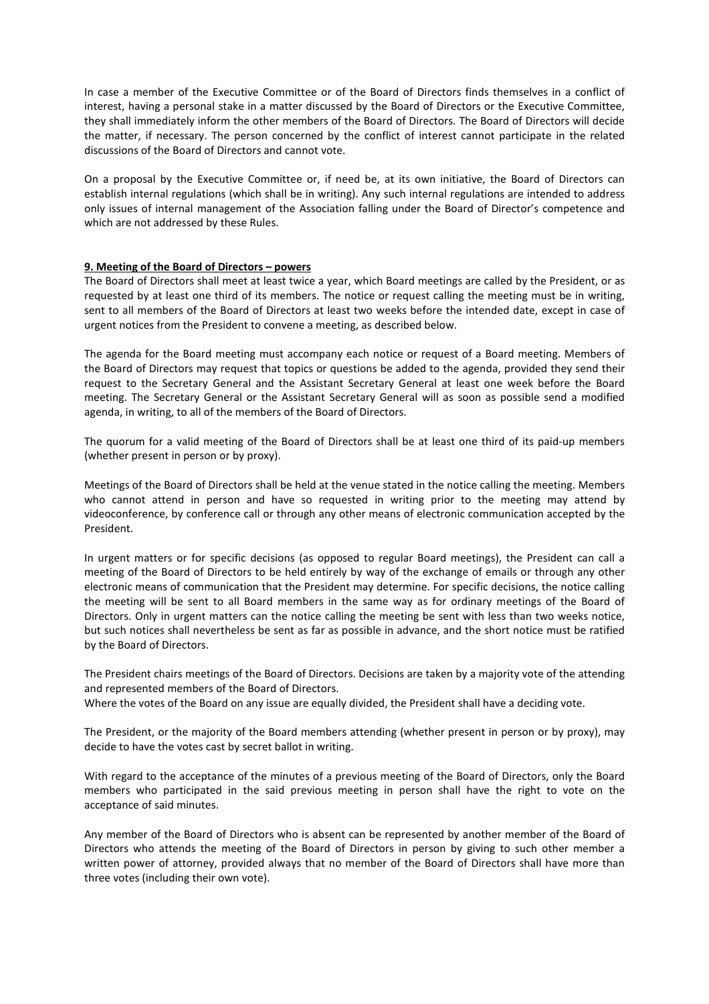In case a member of the Executive Committee or of the Board of Directors finds themselves in a conflict of interest, having a personal stake in a matter discussed by the Board of Directors or the Executive Committee, they shall immediately inform the other members of the Board of Directors. The Board of Directors will decide the matter, if necessary. The person concerned by the conflict of interest cannot participate in the related discussions of the Board of Directors and cannot vote.

On a proposal by the Executive Committee or, if need be, at its own initiative, the Board of Directors can establish internal regulations (which shall be in writing). Any such internal regulations are intended to address only issues of internal management of the Association falling under the Board of Director's competence and which are not addressed by these Rules.

## **9. Meeting of the Board of Directors – powers**

The Board of Directors shall meet at least twice a year, which Board meetings are called by the President, or as requested by at least one third of its members. The notice or request calling the meeting must be in writing, sent to all members of the Board of Directors at least two weeks before the intended date, except in case of urgent notices from the President to convene a meeting, as described below.

The agenda for the Board meeting must accompany each notice or request of a Board meeting. Members of the Board of Directors may request that topics or questions be added to the agenda, provided they send their request to the Secretary General and the Assistant Secretary General at least one week before the Board meeting. The Secretary General or the Assistant Secretary General will as soon as possible send a modified agenda, in writing, to all of the members of the Board of Directors.

The quorum for a valid meeting of the Board of Directors shall be at least one third of its paid-up members (whether present in person or by proxy).

Meetings of the Board of Directors shall be held at the venue stated in the notice calling the meeting. Members who cannot attend in person and have so requested in writing prior to the meeting may attend by videoconference, by conference call or through any other means of electronic communication accepted by the President.

In urgent matters or for specific decisions (as opposed to regular Board meetings), the President can call a meeting of the Board of Directors to be held entirely by way of the exchange of emails or through any other electronic means of communication that the President may determine. For specific decisions, the notice calling the meeting will be sent to all Board members in the same way as for ordinary meetings of the Board of Directors. Only in urgent matters can the notice calling the meeting be sent with less than two weeks notice, but such notices shall nevertheless be sent as far as possible in advance, and the short notice must be ratified by the Board of Directors.

The President chairs meetings of the Board of Directors. Decisions are taken by a majority vote of the attending and represented members of the Board of Directors.

Where the votes of the Board on any issue are equally divided, the President shall have a deciding vote.

The President, or the majority of the Board members attending (whether present in person or by proxy), may decide to have the votes cast by secret ballot in writing.

With regard to the acceptance of the minutes of a previous meeting of the Board of Directors, only the Board members who participated in the said previous meeting in person shall have the right to vote on the acceptance of said minutes.

Any member of the Board of Directors who is absent can be represented by another member of the Board of Directors who attends the meeting of the Board of Directors in person by giving to such other member a written power of attorney, provided always that no member of the Board of Directors shall have more than three votes (including their own vote).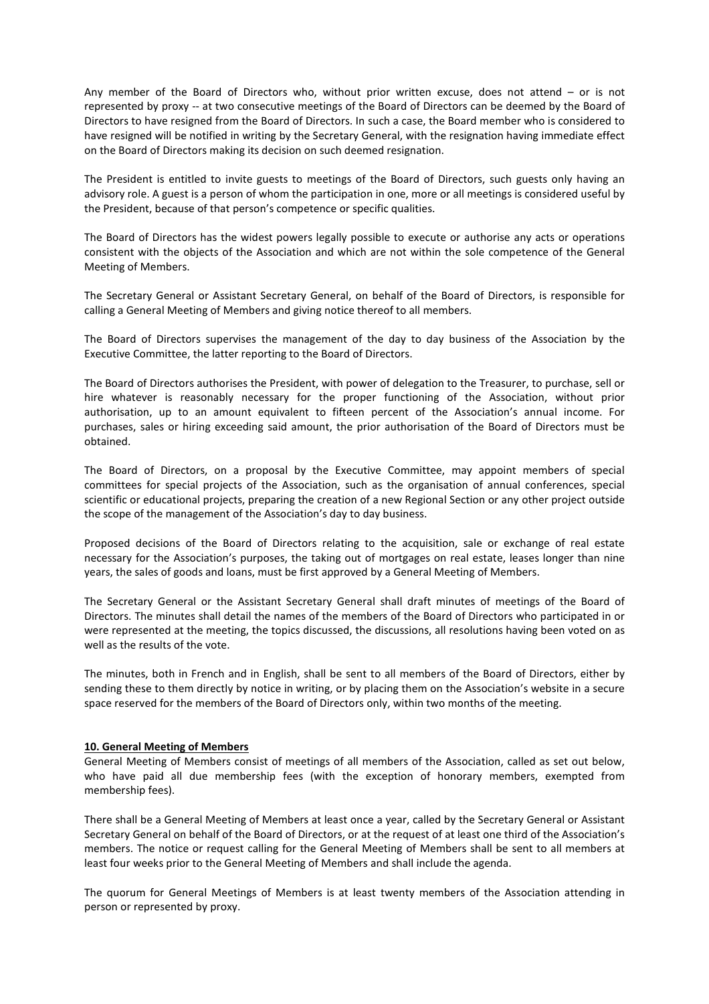Any member of the Board of Directors who, without prior written excuse, does not attend – or is not represented by proxy -- at two consecutive meetings of the Board of Directors can be deemed by the Board of Directors to have resigned from the Board of Directors. In such a case, the Board member who is considered to have resigned will be notified in writing by the Secretary General, with the resignation having immediate effect on the Board of Directors making its decision on such deemed resignation.

The President is entitled to invite guests to meetings of the Board of Directors, such guests only having an advisory role. A guest is a person of whom the participation in one, more or all meetings is considered useful by the President, because of that person's competence or specific qualities.

The Board of Directors has the widest powers legally possible to execute or authorise any acts or operations consistent with the objects of the Association and which are not within the sole competence of the General Meeting of Members.

The Secretary General or Assistant Secretary General, on behalf of the Board of Directors, is responsible for calling a General Meeting of Members and giving notice thereof to all members.

The Board of Directors supervises the management of the day to day business of the Association by the Executive Committee, the latter reporting to the Board of Directors.

The Board of Directors authorises the President, with power of delegation to the Treasurer, to purchase, sell or hire whatever is reasonably necessary for the proper functioning of the Association, without prior authorisation, up to an amount equivalent to fifteen percent of the Association's annual income. For purchases, sales or hiring exceeding said amount, the prior authorisation of the Board of Directors must be obtained.

The Board of Directors, on a proposal by the Executive Committee, may appoint members of special committees for special projects of the Association, such as the organisation of annual conferences, special scientific or educational projects, preparing the creation of a new Regional Section or any other project outside the scope of the management of the Association's day to day business.

Proposed decisions of the Board of Directors relating to the acquisition, sale or exchange of real estate necessary for the Association's purposes, the taking out of mortgages on real estate, leases longer than nine years, the sales of goods and loans, must be first approved by a General Meeting of Members.

The Secretary General or the Assistant Secretary General shall draft minutes of meetings of the Board of Directors. The minutes shall detail the names of the members of the Board of Directors who participated in or were represented at the meeting, the topics discussed, the discussions, all resolutions having been voted on as well as the results of the vote.

The minutes, both in French and in English, shall be sent to all members of the Board of Directors, either by sending these to them directly by notice in writing, or by placing them on the Association's website in a secure space reserved for the members of the Board of Directors only, within two months of the meeting.

## **10. General Meeting of Members**

General Meeting of Members consist of meetings of all members of the Association, called as set out below, who have paid all due membership fees (with the exception of honorary members, exempted from membership fees).

There shall be a General Meeting of Members at least once a year, called by the Secretary General or Assistant Secretary General on behalf of the Board of Directors, or at the request of at least one third of the Association's members. The notice or request calling for the General Meeting of Members shall be sent to all members at least four weeks prior to the General Meeting of Members and shall include the agenda.

The quorum for General Meetings of Members is at least twenty members of the Association attending in person or represented by proxy.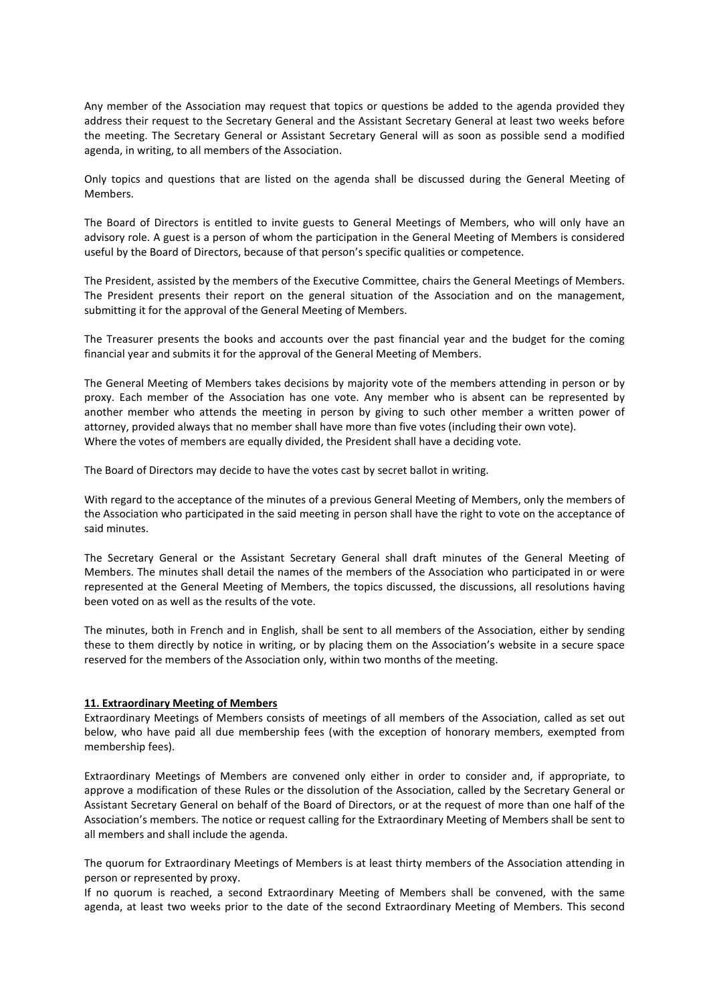Any member of the Association may request that topics or questions be added to the agenda provided they address their request to the Secretary General and the Assistant Secretary General at least two weeks before the meeting. The Secretary General or Assistant Secretary General will as soon as possible send a modified agenda, in writing, to all members of the Association.

Only topics and questions that are listed on the agenda shall be discussed during the General Meeting of Members.

The Board of Directors is entitled to invite guests to General Meetings of Members, who will only have an advisory role. A guest is a person of whom the participation in the General Meeting of Members is considered useful by the Board of Directors, because of that person's specific qualities or competence.

The President, assisted by the members of the Executive Committee, chairs the General Meetings of Members. The President presents their report on the general situation of the Association and on the management, submitting it for the approval of the General Meeting of Members.

The Treasurer presents the books and accounts over the past financial year and the budget for the coming financial year and submits it for the approval of the General Meeting of Members.

The General Meeting of Members takes decisions by majority vote of the members attending in person or by proxy. Each member of the Association has one vote. Any member who is absent can be represented by another member who attends the meeting in person by giving to such other member a written power of attorney, provided always that no member shall have more than five votes (including their own vote). Where the votes of members are equally divided, the President shall have a deciding vote.

The Board of Directors may decide to have the votes cast by secret ballot in writing.

With regard to the acceptance of the minutes of a previous General Meeting of Members, only the members of the Association who participated in the said meeting in person shall have the right to vote on the acceptance of said minutes.

The Secretary General or the Assistant Secretary General shall draft minutes of the General Meeting of Members. The minutes shall detail the names of the members of the Association who participated in or were represented at the General Meeting of Members, the topics discussed, the discussions, all resolutions having been voted on as well as the results of the vote.

The minutes, both in French and in English, shall be sent to all members of the Association, either by sending these to them directly by notice in writing, or by placing them on the Association's website in a secure space reserved for the members of the Association only, within two months of the meeting.

#### **11. Extraordinary Meeting of Members**

Extraordinary Meetings of Members consists of meetings of all members of the Association, called as set out below, who have paid all due membership fees (with the exception of honorary members, exempted from membership fees).

Extraordinary Meetings of Members are convened only either in order to consider and, if appropriate, to approve a modification of these Rules or the dissolution of the Association, called by the Secretary General or Assistant Secretary General on behalf of the Board of Directors, or at the request of more than one half of the Association's members. The notice or request calling for the Extraordinary Meeting of Members shall be sent to all members and shall include the agenda.

The quorum for Extraordinary Meetings of Members is at least thirty members of the Association attending in person or represented by proxy.

If no quorum is reached, a second Extraordinary Meeting of Members shall be convened, with the same agenda, at least two weeks prior to the date of the second Extraordinary Meeting of Members. This second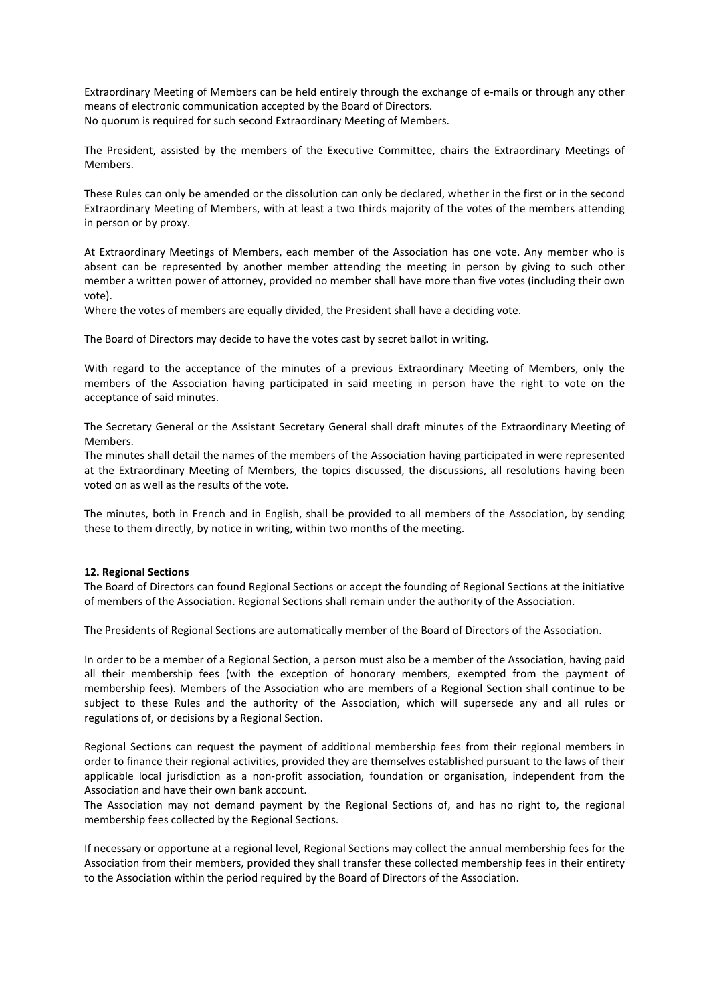Extraordinary Meeting of Members can be held entirely through the exchange of e-mails or through any other means of electronic communication accepted by the Board of Directors. No quorum is required for such second Extraordinary Meeting of Members.

The President, assisted by the members of the Executive Committee, chairs the Extraordinary Meetings of Members.

These Rules can only be amended or the dissolution can only be declared, whether in the first or in the second Extraordinary Meeting of Members, with at least a two thirds majority of the votes of the members attending in person or by proxy.

At Extraordinary Meetings of Members, each member of the Association has one vote. Any member who is absent can be represented by another member attending the meeting in person by giving to such other member a written power of attorney, provided no member shall have more than five votes (including their own vote).

Where the votes of members are equally divided, the President shall have a deciding vote.

The Board of Directors may decide to have the votes cast by secret ballot in writing.

With regard to the acceptance of the minutes of a previous Extraordinary Meeting of Members, only the members of the Association having participated in said meeting in person have the right to vote on the acceptance of said minutes.

The Secretary General or the Assistant Secretary General shall draft minutes of the Extraordinary Meeting of **Members** 

The minutes shall detail the names of the members of the Association having participated in were represented at the Extraordinary Meeting of Members, the topics discussed, the discussions, all resolutions having been voted on as well as the results of the vote.

The minutes, both in French and in English, shall be provided to all members of the Association, by sending these to them directly, by notice in writing, within two months of the meeting.

## **12. Regional Sections**

The Board of Directors can found Regional Sections or accept the founding of Regional Sections at the initiative of members of the Association. Regional Sections shall remain under the authority of the Association.

The Presidents of Regional Sections are automatically member of the Board of Directors of the Association.

In order to be a member of a Regional Section, a person must also be a member of the Association, having paid all their membership fees (with the exception of honorary members, exempted from the payment of membership fees). Members of the Association who are members of a Regional Section shall continue to be subject to these Rules and the authority of the Association, which will supersede any and all rules or regulations of, or decisions by a Regional Section.

Regional Sections can request the payment of additional membership fees from their regional members in order to finance their regional activities, provided they are themselves established pursuant to the laws of their applicable local jurisdiction as a non-profit association, foundation or organisation, independent from the Association and have their own bank account.

The Association may not demand payment by the Regional Sections of, and has no right to, the regional membership fees collected by the Regional Sections.

If necessary or opportune at a regional level, Regional Sections may collect the annual membership fees for the Association from their members, provided they shall transfer these collected membership fees in their entirety to the Association within the period required by the Board of Directors of the Association.